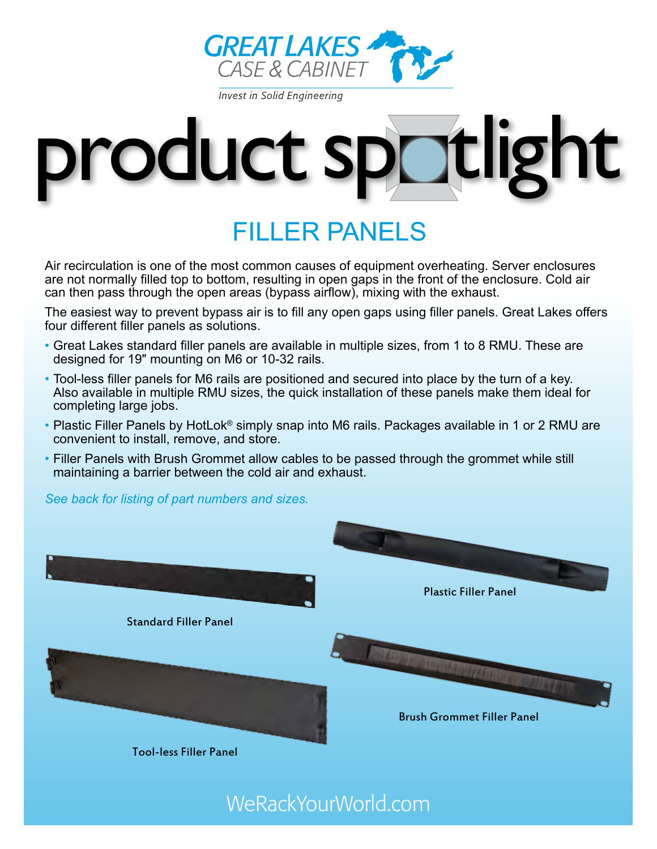

**Invest in Solid Engineering** 



# filler panels

Air recirculation is one of the most common causes of equipment overheating. Server enclosures are not normally filled top to bottom, resulting in open gaps in the front of the enclosure. Cold air can then pass through the open areas (bypass airflow), mixing with the exhaust.

The easiest way to prevent bypass air is to fill any open gaps using filler panels. Great Lakes offers four different filler panels as solutions.

- Great Lakes standard filler panels are available in multiple sizes, from 1 to 8 RMU. These are designed for 19" mounting on M6 or 10-32 rails.
- Tool-less filler panels for M6 rails are positioned and secured into place by the turn of a key. Also available in multiple RMU sizes, the quick installation of these panels make them ideal for completing large jobs.
- Plastic Filler Panels by HotLok<sup>®</sup> simply snap into M6 rails. Packages available in 1 or 2 RMU are convenient to install, remove, and store.
- Filler Panels with Brush Grommet allow cables to be passed through the grommet while still maintaining a barrier between the cold air and exhaust.

*See back for listing of part numbers and sizes.*



WeRackYourWorld.com